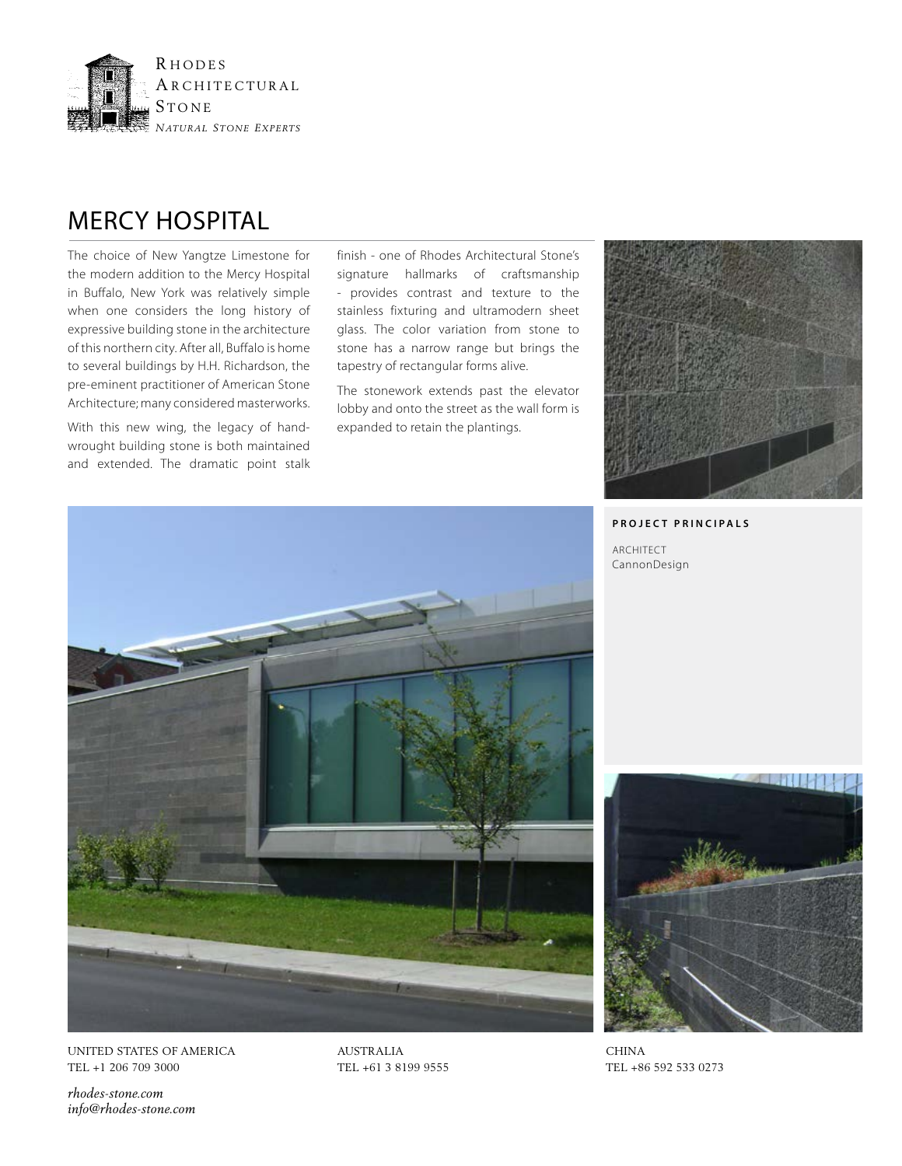

## MERCY HOSPITAL

The choice of New Yangtze Limestone for the modern addition to the Mercy Hospital in Buffalo, New York was relatively simple when one considers the long history of expressive building stone in the architecture of this northern city. After all, Buffalo is home to several buildings by H.H. Richardson, the pre-eminent practitioner of American Stone Architecture; many considered masterworks.

With this new wing, the legacy of handwrought building stone is both maintained and extended. The dramatic point stalk finish - one of Rhodes Architectural Stone's signature hallmarks of craftsmanship - provides contrast and texture to the stainless fixturing and ultramodern sheet glass. The color variation from stone to stone has a narrow range but brings the tapestry of rectangular forms alive.

The stonework extends past the elevator lobby and onto the street as the wall form is expanded to retain the plantings.



## **PROJECT PRINCIPALS**

ARCHITECT CannonDesign





CHINA TEL +86 592 533 0273

TEL +1 206 709 3000

*rhodes-stone.com info@rhodes-stone.com* AUSTRALIA TEL +61 3 8199 9555